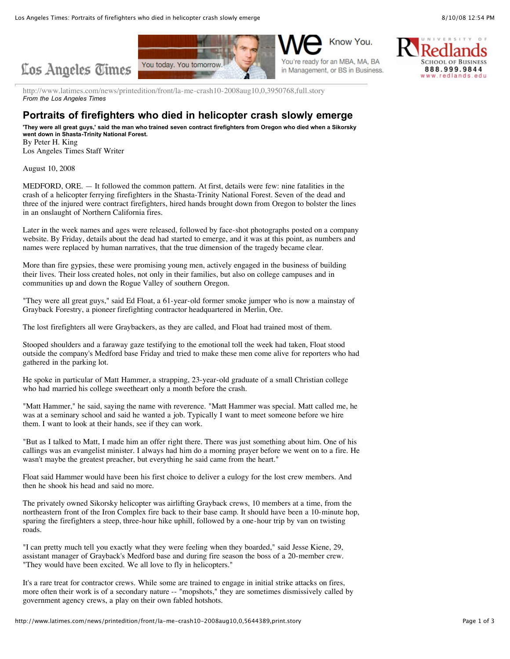

Know You.

ou're ready for an MBA, MA, BA in Management, or BS in Business.

<http://www.latimes.com/news/printedition/front/la-me-crash10-2008aug10,0,3950768,full.story> *From the Los Angeles Times*

## **Portraits of firefighters who died in helicopter crash slowly emerge**

'They were all great guys,' said the man who trained seven contract firefighters from Oregon who died when a Sikorsky **went down in Shasta-Trinity National Forest.** By Peter H. King

Los Angeles Times Staff Writer

Los Angeles Times

August 10, 2008

MEDFORD, ORE. — It followed the common pattern. At first, details were few: nine fatalities in the crash of a helicopter ferrying firefighters in the Shasta-Trinity National Forest. Seven of the dead and three of the injured were contract firefighters, hired hands brought down from Oregon to bolster the lines in an onslaught of Northern California fires.

Later in the week names and ages were released, followed by face-shot photographs posted on a company website. By Friday, details about the dead had started to emerge, and it was at this point, as numbers and names were replaced by human narratives, that the true dimension of the tragedy became clear.

More than fire gypsies, these were promising young men, actively engaged in the business of building their lives. Their loss created holes, not only in their families, but also on college campuses and in communities up and down the Rogue Valley of southern Oregon.

"They were all great guys," said Ed Float, a 61-year-old former smoke jumper who is now a mainstay of Grayback Forestry, a pioneer firefighting contractor headquartered in Merlin, Ore.

The lost firefighters all were Graybackers, as they are called, and Float had trained most of them.

Stooped shoulders and a faraway gaze testifying to the emotional toll the week had taken, Float stood outside the company's Medford base Friday and tried to make these men come alive for reporters who had gathered in the parking lot.

He spoke in particular of Matt Hammer, a strapping, 23-year-old graduate of a small Christian college who had married his college sweetheart only a month before the crash.

"Matt Hammer," he said, saying the name with reverence. "Matt Hammer was special. Matt called me, he was at a seminary school and said he wanted a job. Typically I want to meet someone before we hire them. I want to look at their hands, see if they can work.

"But as I talked to Matt, I made him an offer right there. There was just something about him. One of his callings was an evangelist minister. I always had him do a morning prayer before we went on to a fire. He wasn't maybe the greatest preacher, but everything he said came from the heart."

Float said Hammer would have been his first choice to deliver a eulogy for the lost crew members. And then he shook his head and said no more.

The privately owned Sikorsky helicopter was airlifting Grayback crews, 10 members at a time, from the northeastern front of the Iron Complex fire back to their base camp. It should have been a 10-minute hop, sparing the firefighters a steep, three-hour hike uphill, followed by a one-hour trip by van on twisting roads.

"I can pretty much tell you exactly what they were feeling when they boarded," said Jesse Kiene, 29, assistant manager of Grayback's Medford base and during fire season the boss of a 20-member crew. "They would have been excited. We all love to fly in helicopters."

It's a rare treat for contractor crews. While some are trained to engage in initial strike attacks on fires, more often their work is of a secondary nature -- "mopshots," they are sometimes dismissively called by government agency crews, a play on their own fabled hotshots.

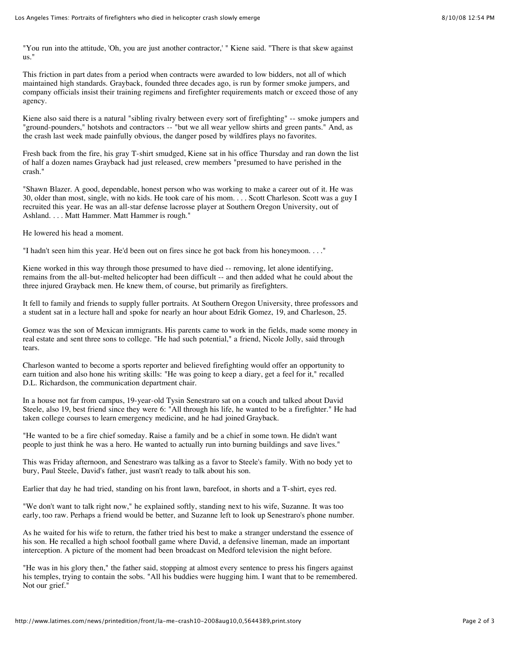"You run into the attitude, 'Oh, you are just another contractor,' " Kiene said. "There is that skew against us."

This friction in part dates from a period when contracts were awarded to low bidders, not all of which maintained high standards. Grayback, founded three decades ago, is run by former smoke jumpers, and company officials insist their training regimens and firefighter requirements match or exceed those of any agency.

Kiene also said there is a natural "sibling rivalry between every sort of firefighting" -- smoke jumpers and "ground-pounders," hotshots and contractors -- "but we all wear yellow shirts and green pants." And, as the crash last week made painfully obvious, the danger posed by wildfires plays no favorites.

Fresh back from the fire, his gray T-shirt smudged, Kiene sat in his office Thursday and ran down the list of half a dozen names Grayback had just released, crew members "presumed to have perished in the crash."

"Shawn Blazer. A good, dependable, honest person who was working to make a career out of it. He was 30, older than most, single, with no kids. He took care of his mom. . . . Scott Charleson. Scott was a guy I recruited this year. He was an all-star defense lacrosse player at Southern Oregon University, out of Ashland. . . . Matt Hammer. Matt Hammer is rough."

He lowered his head a moment.

"I hadn't seen him this year. He'd been out on fires since he got back from his honeymoon. . . ."

Kiene worked in this way through those presumed to have died -- removing, let alone identifying, remains from the all-but-melted helicopter had been difficult -- and then added what he could about the three injured Grayback men. He knew them, of course, but primarily as firefighters.

It fell to family and friends to supply fuller portraits. At Southern Oregon University, three professors and a student sat in a lecture hall and spoke for nearly an hour about Edrik Gomez, 19, and Charleson, 25.

Gomez was the son of Mexican immigrants. His parents came to work in the fields, made some money in real estate and sent three sons to college. "He had such potential," a friend, Nicole Jolly, said through tears.

Charleson wanted to become a sports reporter and believed firefighting would offer an opportunity to earn tuition and also hone his writing skills: "He was going to keep a diary, get a feel for it," recalled D.L. Richardson, the communication department chair.

In a house not far from campus, 19-year-old Tysin Senestraro sat on a couch and talked about David Steele, also 19, best friend since they were 6: "All through his life, he wanted to be a firefighter." He had taken college courses to learn emergency medicine, and he had joined Grayback.

"He wanted to be a fire chief someday. Raise a family and be a chief in some town. He didn't want people to just think he was a hero. He wanted to actually run into burning buildings and save lives."

This was Friday afternoon, and Senestraro was talking as a favor to Steele's family. With no body yet to bury, Paul Steele, David's father, just wasn't ready to talk about his son.

Earlier that day he had tried, standing on his front lawn, barefoot, in shorts and a T-shirt, eyes red.

"We don't want to talk right now," he explained softly, standing next to his wife, Suzanne. It was too early, too raw. Perhaps a friend would be better, and Suzanne left to look up Senestraro's phone number.

As he waited for his wife to return, the father tried his best to make a stranger understand the essence of his son. He recalled a high school football game where David, a defensive lineman, made an important interception. A picture of the moment had been broadcast on Medford television the night before.

"He was in his glory then," the father said, stopping at almost every sentence to press his fingers against his temples, trying to contain the sobs. "All his buddies were hugging him. I want that to be remembered. Not our grief."